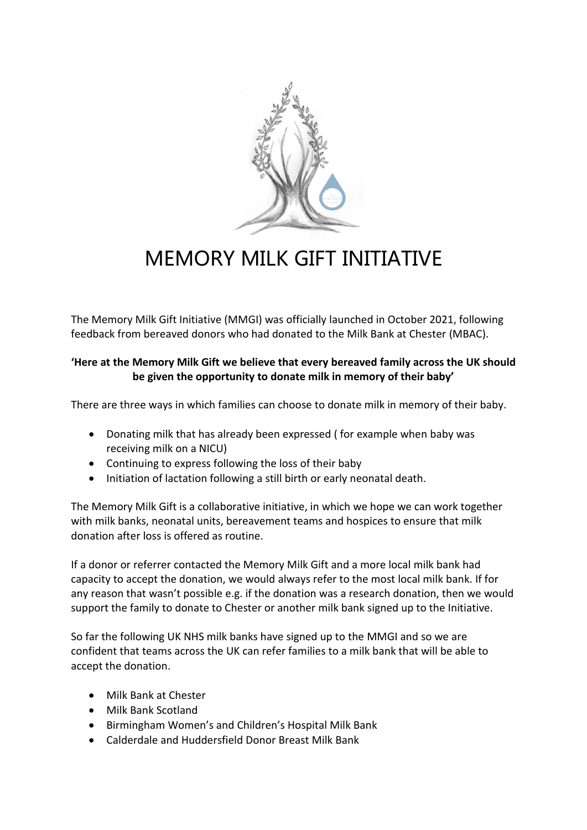

# MEMORY MILK GIFT INITIATIVE

The Memory Milk Gift Initiative (MMGI) was officially launched in October 2021, following feedback from bereaved donors who had donated to the Milk Bank at Chester (MBAC).

### **'Here at the Memory Milk Gift we believe that every bereaved family across the UK should be given the opportunity to donate milk in memory of their baby'**

There are three ways in which families can choose to donate milk in memory of their baby.

- Donating milk that has already been expressed ( for example when baby was receiving milk on a NICU)
- Continuing to express following the loss of their baby
- Initiation of lactation following a still birth or early neonatal death.

The Memory Milk Gift is a collaborative initiative, in which we hope we can work together with milk banks, neonatal units, bereavement teams and hospices to ensure that milk donation after loss is offered as routine.

If a donor or referrer contacted the Memory Milk Gift and a more local milk bank had capacity to accept the donation, we would always refer to the most local milk bank. If for any reason that wasn't possible e.g. if the donation was a research donation, then we would support the family to donate to Chester or another milk bank signed up to the Initiative.

So far the following UK NHS milk banks have signed up to the MMGI and so we are confident that teams across the UK can refer families to a milk bank that will be able to accept the donation.

- Milk Bank at Chester
- Milk Bank Scotland
- Birmingham Women's and Children's Hospital Milk Bank
- Calderdale and Huddersfield Donor Breast Milk Bank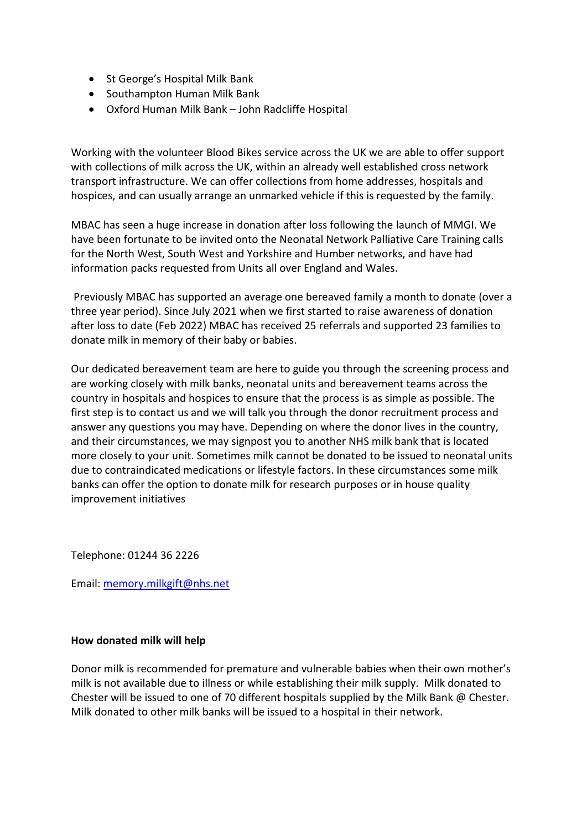- St George's Hospital Milk Bank
- Southampton Human Milk Bank
- Oxford Human Milk Bank John Radcliffe Hospital

Working with the volunteer Blood Bikes service across the UK we are able to offer support with collections of milk across the UK, within an already well established cross network transport infrastructure. We can offer collections from home addresses, hospitals and hospices, and can usually arrange an unmarked vehicle if this is requested by the family.

MBAC has seen a huge increase in donation after loss following the launch of MMGI. We have been fortunate to be invited onto the Neonatal Network Palliative Care Training calls for the North West, South West and Yorkshire and Humber networks, and have had information packs requested from Units all over England and Wales.

Previously MBAC has supported an average one bereaved family a month to donate (over a three year period). Since July 2021 when we first started to raise awareness of donation after loss to date (Feb 2022) MBAC has received 25 referrals and supported 23 families to donate milk in memory of their baby or babies.

Our dedicated bereavement team are here to guide you through the screening process and are working closely with milk banks, neonatal units and bereavement teams across the country in hospitals and hospices to ensure that the process is as simple as possible. The first step is to contact us and we will talk you through the donor recruitment process and answer any questions you may have. Depending on where the donor lives in the country, and their circumstances, we may signpost you to another NHS milk bank that is located more closely to your unit. Sometimes milk cannot be donated to be issued to neonatal units due to contraindicated medications or lifestyle factors. In these circumstances some milk banks can offer the option to donate milk for research purposes or in house quality improvement initiatives

Telephone: 01244 36 2226

Email: [memory.milkgift@nhs.net](mailto:memory.milkgift@nhs.net)

#### **How donated milk will help**

Donor milk is recommended for premature and vulnerable babies when their own mother's milk is not available due to illness or while establishing their milk supply. Milk donated to Chester will be issued to one of 70 different hospitals supplied by the Milk Bank  $\omega$  Chester. Milk donated to other milk banks will be issued to a hospital in their network.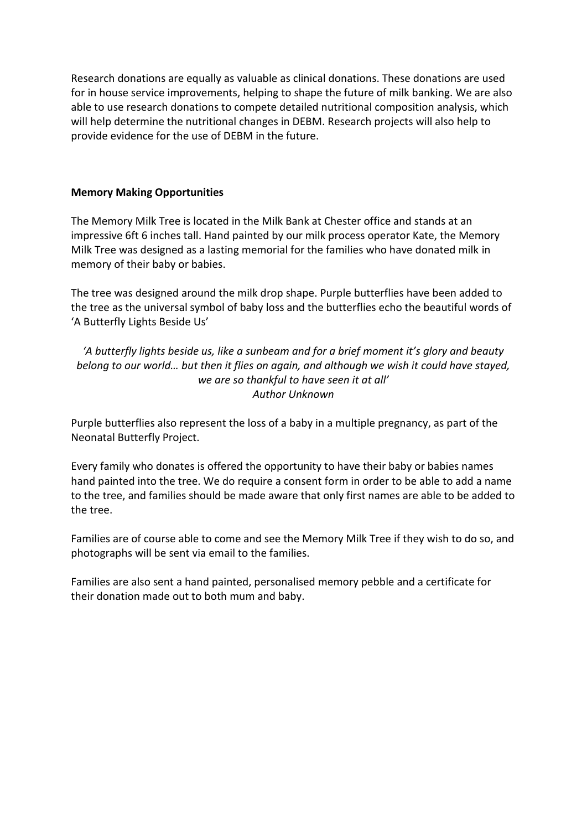Research donations are equally as valuable as clinical donations. These donations are used for in house service improvements, helping to shape the future of milk banking. We are also able to use research donations to compete detailed nutritional composition analysis, which will help determine the nutritional changes in DEBM. Research projects will also help to provide evidence for the use of DEBM in the future.

#### **Memory Making Opportunities**

The Memory Milk Tree is located in the Milk Bank at Chester office and stands at an impressive 6ft 6 inches tall. Hand painted by our milk process operator Kate, the Memory Milk Tree was designed as a lasting memorial for the families who have donated milk in memory of their baby or babies.

The tree was designed around the milk drop shape. Purple butterflies have been added to the tree as the universal symbol of baby loss and the butterflies echo the beautiful words of 'A Butterfly Lights Beside Us'

*'A butterfly lights beside us, like a sunbeam and for a brief moment it's glory and beauty belong to our world… but then it flies on again, and although we wish it could have stayed, we are so thankful to have seen it at all' Author Unknown*

Purple butterflies also represent the loss of a baby in a multiple pregnancy, as part of the Neonatal Butterfly Project.

Every family who donates is offered the opportunity to have their baby or babies names hand painted into the tree. We do require a consent form in order to be able to add a name to the tree, and families should be made aware that only first names are able to be added to the tree.

Families are of course able to come and see the Memory Milk Tree if they wish to do so, and photographs will be sent via email to the families.

Families are also sent a hand painted, personalised memory pebble and a certificate for their donation made out to both mum and baby.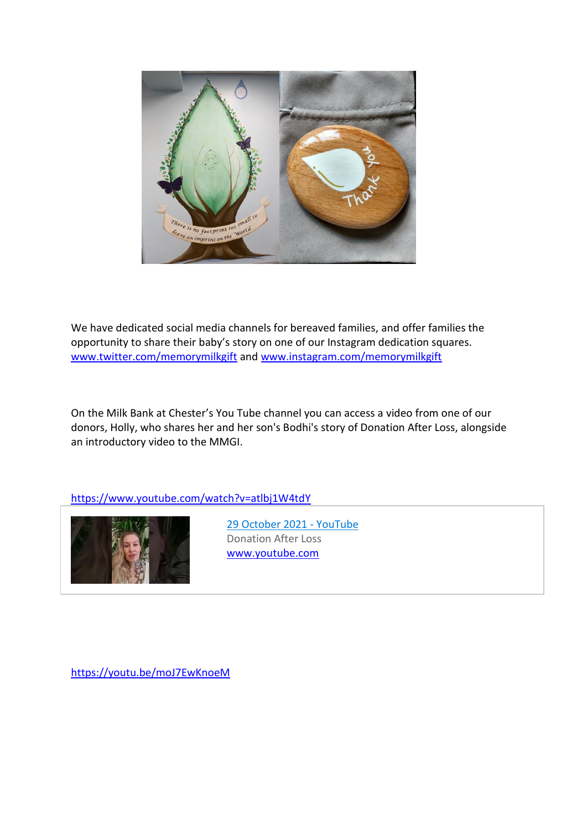

We have dedicated social media channels for bereaved families, and offer families the opportunity to share their baby's story on one of our Instagram dedication squares. [www.twitter.com/memorymilkgift](http://www.twitter.com/memorymilkgift) and [www.instagram.com/memorymilkgift](http://www.instagram.com/memorymilkgift)

On the Milk Bank at Chester's You Tube channel you can access a video from one of our donors, Holly, who shares her and her son's Bodhi's story of Donation After Loss, alongside an introductory video to the MMGI.

<https://www.youtube.com/watch?v=atlbj1W4tdY>



[29 October 2021 -](https://www.youtube.com/watch?v=atlbj1W4tdY) YouTube Donation After Loss [www.youtube.com](http://www.youtube.com/)

<https://youtu.be/moJ7EwKnoeM>